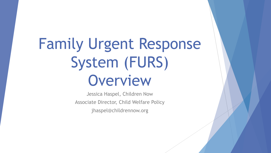# Family Urgent Response System (FURS) Overview

Jessica Haspel, Children Now Associate Director, Child Welfare Policy jhaspel@childrennow.org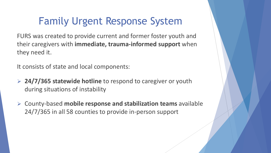### Family Urgent Response System

FURS was created to provide current and former foster youth and their caregivers with **immediate, trauma-informed support** when they need it.

It consists of state and local components:

- **24/7/365 statewide hotline** to respond to caregiver or youth during situations of instability
- County-based **mobile response and stabilization teams** available 24/7/365 in all 58 counties to provide in-person support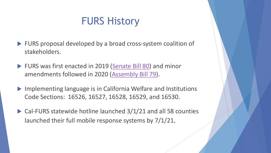#### FURS History

- ▶ FURS proposal developed by a broad cross-system coalition of stakeholders.
- FURS was first enacted in 2019 [\(Senate Bill 80](https://leginfo.legislature.ca.gov/faces/billTextClient.xhtml?bill_id=201920200SB80)) and minor amendments followed in 2020 [\(Assembly Bill 79\)](https://leginfo.legislature.ca.gov/faces/billNavClient.xhtml?bill_id=201920200AB79).
- Implementing language is in California Welfare and Institutions Code Sections: 16526, 16527, 16528, 16529, and 16530.
- ▶ Cal-FURS statewide hotline launched 3/1/21 and all 58 counties launched their full mobile response systems by 7/1/21.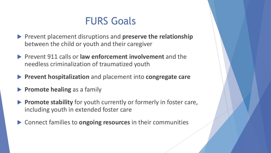#### FURS Goals

- Prevent placement disruptions and **preserve the relationship**  between the child or youth and their caregiver
- Prevent 911 calls or **law enforcement involvement** and the needless criminalization of traumatized youth
- **Prevent hospitalization** and placement into **congregate care**
- **Promote healing** as a family
- **Promote stability** for youth currently or formerly in foster care, including youth in extended foster care
- Connect families to **ongoing resources** in their communities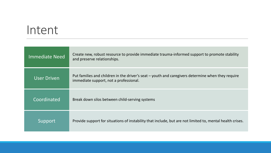## Intent

| <b>Immediate Need</b> | Create new, robust resource to provide immediate trauma-informed support to promote stability<br>and preserve relationships.                |
|-----------------------|---------------------------------------------------------------------------------------------------------------------------------------------|
| User Driven           | Put families and children in the driver's seat - youth and caregivers determine when they require<br>immediate support, not a professional. |
| Coordinated           | Break down silos between child-serving systems                                                                                              |
| <u>Support</u>        | Provide support for situations of instability that include, but are not limited to, mental health crises.                                   |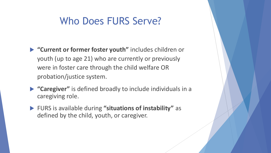#### Who Does FURS Serve?

- **"Current or former foster youth"** includes children or youth (up to age 21) who are currently or previously were in foster care through the child welfare OR probation/justice system.
- **"Caregiver"** is defined broadly to include individuals in a caregiving role.
- FURS is available during **"situations of instability"** as defined by the child, youth, or caregiver.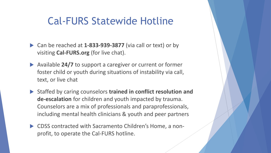#### Cal-FURS Statewide Hotline

- ▶ Can be reached at **1-833-939-3877** (via call or text) or by visiting **Cal-FURS.org** (for live chat).
- ▶ Available 24/7 to support a caregiver or current or former foster child or youth during situations of instability via call, text, or live chat
- Staffed by caring counselors **trained in conflict resolution and de-escalation** for children and youth impacted by trauma. Counselors are a mix of professionals and paraprofessionals, including mental health clinicians & youth and peer partners
- CDSS contracted with Sacramento Children's Home, a nonprofit, to operate the Cal-FURS hotline.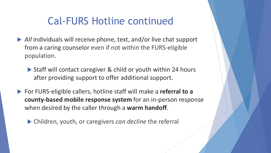#### Cal-FURS Hotline continued

- *All* individuals will receive phone, text, and/or live chat support from a caring counselor even if not within the FURS-eligible population.
	- ▶ Staff will contact caregiver & child or youth within 24 hours after providing support to offer additional support.
- For FURS-eligible callers, hotline staff will make a **referral to a county-based mobile response system** for an in-person response when desired by the caller through a **warm handoff**.
	- Children, youth, or caregivers *can decline* the referral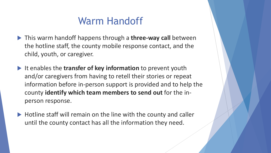#### Warm Handoff

- This warm handoff happens through a **three-way call** between the hotline staff, the county mobile response contact, and the child, youth, or caregiver.
- It enables the **transfer of key information** to prevent youth and/or caregivers from having to retell their stories or repeat information before in-person support is provided and to help the county **identify which team members to send out** for the inperson response.
- ▶ Hotline staff will remain on the line with the county and caller until the county contact has all the information they need.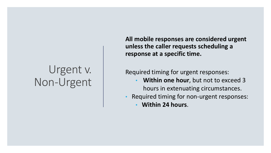# Urgent v. Non-Urgent

**All mobile responses are considered urgent unless the caller requests scheduling a response at a specific time.**

Required timing for urgent responses:

- **Within one hour**, but not to exceed 3 hours in extenuating circumstances.
- Required timing for non-urgent responses:
	- **Within 24 hours**.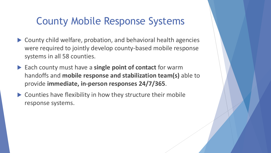#### County Mobile Response Systems

- County child welfare, probation, and behavioral health agencies were required to jointly develop county-based mobile response systems in all 58 counties.
- ▶ Each county must have a **single point of contact** for warm handoffs and **mobile response and stabilization team(s)** able to provide **immediate, in-person responses 24/7/365**.
- Counties have flexibility in how they structure their mobile response systems.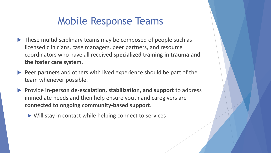### Mobile Response Teams

- ▶ These multidisciplinary teams may be composed of people such as licensed clinicians, case managers, peer partners, and resource coordinators who have all received **specialized training in trauma and the foster care system**.
- **Peer partners** and others with lived experience should be part of the team whenever possible.
- **Provide in-person de-escalation, stabilization, and support** to address immediate needs and then help ensure youth and caregivers are **connected to ongoing community-based support**.
	- Will stay in contact while helping connect to services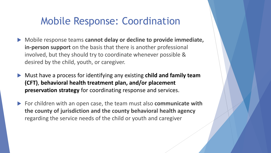#### Mobile Response: Coordination

- ▶ Mobile response teams cannot delay or decline to provide immediate, **in-person support** on the basis that there is another professional involved, but they should try to coordinate whenever possible & desired by the child, youth, or caregiver.
- Must have a process for identifying any existing **child and family team (CFT)**, **behavioral health treatment plan, and/or placement preservation strategy** for coordinating response and services.
- ▶ For children with an open case, the team must also **communicate with the county of jurisdiction and the county behavioral health agency**  regarding the service needs of the child or youth and caregiver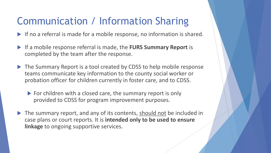### Communication / Information Sharing

- If no a referral is made for a mobile response, no information is shared.
- If a mobile response referral is made, the **FURS Summary Report** is completed by the team after the response.
- ▶ The Summary Report is a tool created by CDSS to help mobile response teams communicate key information to the county social worker or probation officer for children currently in foster care, and to CDSS.
	- For children with a closed care, the summary report is only provided to CDSS for program improvement purposes.
- The summary report, and any of its contents, should not be included in case plans or court reports. It is **intended only to be used to ensure linkage** to ongoing supportive services.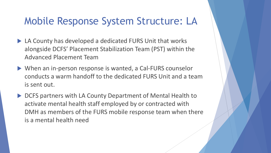#### Mobile Response System Structure: LA

- ▶ LA County has developed a dedicated FURS Unit that works alongside DCFS' Placement Stabilization Team (PST) within the Advanced Placement Team
- When an in-person response is wanted, a Cal-FURS counselor conducts a warm handoff to the dedicated FURS Unit and a team is sent out.
- ▶ DCFS partners with LA County Department of Mental Health to activate mental health staff employed by or contracted with DMH as members of the FURS mobile response team when there is a mental health need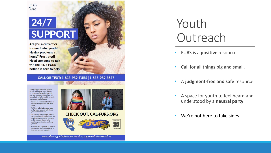

#### $24/7$ **SUPPORT**

Are you a current or former foster youth? **Having problems at** home? Frustrated? Need someone to talk to? The 24/7 FURS hotline is here to help.

#### CALL OR TEXT: 1-833-939-FURS | 1-833-939-3877

**Family Urgent Response System** (FURS) is a free 24/7/365 hotline for current or former foster youth and your caregivers to call and get immediate help for any big or small issues you may be having.

- You will be connected to a trained counselor or peer who will listen to you.
- · FURS is a safe, judgement-free, and private space to talk about your worries and vent.
- · If you want more support, a team can come directly to where you are to help you work on the problem and to create a plan to help stabilize your situation and keep you safe.
- · The team will follow-up by helping connect you and your caregiver to local services and support.



#### **CHECK OUT: CAL-FURS.ORG**



#### www.cdss.ca.gov/inforesources/cdss-programs/foster-care/furs

# Youth **Outreach**

- FURS is a **positive** resource.
- Call for all things big and small.
- A **judgment-free and safe** resource.
- A space for youth to feel heard and understood by a **neutral party**.
- We're not here to take sides.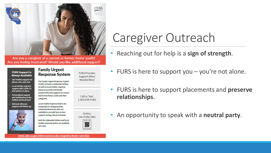

Are you a caregiver of a current or former foster youth? Are you feeling frustrated? Would you like additional support?

#### **Family Urgent FURS Support is Response System Always Available** 24/7 hotline support via The Family Urgent Response System phone, text, and chat. (FURS) Includes a statewide hotline Local mobile response as well as local mobile response support with COVID-19 teams to provide immediate precautions in place. trauma-Informed support to current **Personalized support** and former foster youth and their and stabilization at the caregivers. hotline and local level. Local mobile response teams are **Relevant aftercare** support and follow-up. comprised of compassionate, trained professionals who are available to provide face-to-face support during critical moments. Both the statewide hotline and local mobile response teams are available 24/7/365.

SCAN ME

Call or Text: 1-833-939-FURS

Online: CAL-FURS.ORG

**FURS Provides** 

Support When

Needed Most



#### www.cdss.ca.gov/inforesources/cdss-programs/foster-care/furs

# Caregiver Outreach

- Reaching out for help is a **sign of strength**.
- FURS is here to support you you're not alone.
- FURS is here to support placements and **preserve relationships**.
- An opportunity to speak with a **neutral party**.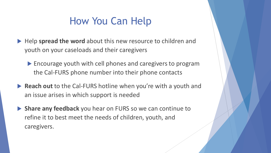### How You Can Help

- ▶ Help spread the word about this new resource to children and youth on your caseloads and their caregivers
	- Encourage youth with cell phones and caregivers to program the Cal-FURS phone number into their phone contacts
- **Reach out** to the Cal-FURS hotline when you're with a youth and an issue arises in which support is needed
- **Share any feedback** you hear on FURS so we can continue to refine it to best meet the needs of children, youth, and caregivers.